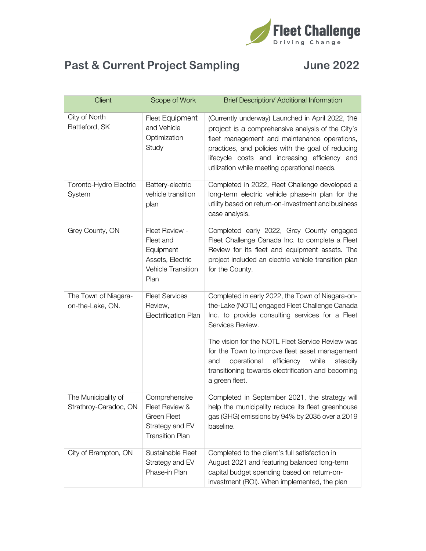

## **Past & Current Project Sampling June 2022**

| Client                                       | Scope of Work                                                                               | Brief Description/ Additional Information                                                                                                                                                                                                                                                                                                                                                                        |
|----------------------------------------------|---------------------------------------------------------------------------------------------|------------------------------------------------------------------------------------------------------------------------------------------------------------------------------------------------------------------------------------------------------------------------------------------------------------------------------------------------------------------------------------------------------------------|
| City of North<br>Battleford, SK              | <b>Fleet Equipment</b><br>and Vehicle<br>Optimization<br>Study                              | (Currently underway) Launched in April 2022, the<br>project is a comprehensive analysis of the City's<br>fleet management and maintenance operations,<br>practices, and policies with the goal of reducing<br>lifecycle costs and increasing efficiency and<br>utilization while meeting operational needs.                                                                                                      |
| Toronto-Hydro Electric<br>System             | Battery-electric<br>vehicle transition<br>plan                                              | Completed in 2022, Fleet Challenge developed a<br>long-term electric vehicle phase-in plan for the<br>utility based on return-on-investment and business<br>case analysis.                                                                                                                                                                                                                                       |
| Grey County, ON                              | Fleet Review -<br>Fleet and<br>Equipment<br>Assets, Electric<br>Vehicle Transition<br>Plan  | Completed early 2022, Grey County engaged<br>Fleet Challenge Canada Inc. to complete a Fleet<br>Review for its fleet and equipment assets. The<br>project included an electric vehicle transition plan<br>for the County.                                                                                                                                                                                        |
| The Town of Niagara-<br>on-the-Lake, ON.     | <b>Fleet Services</b><br>Review,<br><b>Electrification Plan</b>                             | Completed in early 2022, the Town of Niagara-on-<br>the-Lake (NOTL) engaged Fleet Challenge Canada<br>Inc. to provide consulting services for a Fleet<br>Services Review.<br>The vision for the NOTL Fleet Service Review was<br>for the Town to improve fleet asset management<br>operational<br>efficiency<br>while<br>steadily<br>and<br>transitioning towards electrification and becoming<br>a green fleet. |
| The Municipality of<br>Strathroy-Caradoc, ON | Comprehensive<br>Fleet Review &<br>Green Fleet<br>Strategy and EV<br><b>Transition Plan</b> | Completed in September 2021, the strategy will<br>help the municipality reduce its fleet greenhouse<br>gas (GHG) emissions by 94% by 2035 over a 2019<br>baseline.                                                                                                                                                                                                                                               |
| City of Brampton, ON                         | Sustainable Fleet<br>Strategy and EV<br>Phase-in Plan                                       | Completed to the client's full satisfaction in<br>August 2021 and featuring balanced long-term<br>capital budget spending based on return-on-<br>investment (ROI). When implemented, the plan                                                                                                                                                                                                                    |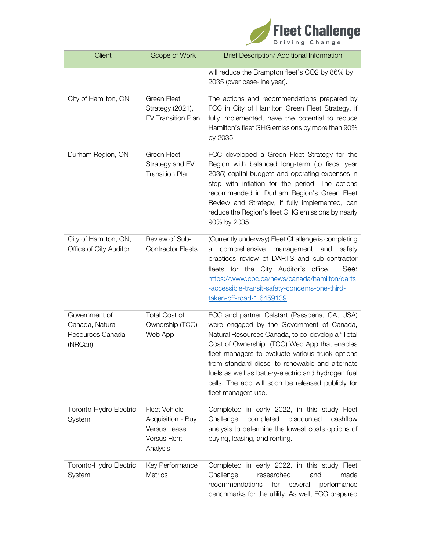

| <b>Client</b>                                                   | Scope of Work                                                                               | Brief Description/ Additional Information                                                                                                                                                                                                                                                                                                                                                                                                |
|-----------------------------------------------------------------|---------------------------------------------------------------------------------------------|------------------------------------------------------------------------------------------------------------------------------------------------------------------------------------------------------------------------------------------------------------------------------------------------------------------------------------------------------------------------------------------------------------------------------------------|
|                                                                 |                                                                                             | will reduce the Brampton fleet's CO2 by 86% by<br>2035 (over base-line year).                                                                                                                                                                                                                                                                                                                                                            |
| City of Hamilton, ON                                            | <b>Green Fleet</b><br>Strategy (2021),<br><b>EV Transition Plan</b>                         | The actions and recommendations prepared by<br>FCC in City of Hamilton Green Fleet Strategy, if<br>fully implemented, have the potential to reduce<br>Hamilton's fleet GHG emissions by more than 90%<br>by 2035.                                                                                                                                                                                                                        |
| Durham Region, ON                                               | <b>Green Fleet</b><br>Strategy and EV<br><b>Transition Plan</b>                             | FCC developed a Green Fleet Strategy for the<br>Region with balanced long-term (to fiscal year<br>2035) capital budgets and operating expenses in<br>step with inflation for the period. The actions<br>recommended in Durham Region's Green Fleet<br>Review and Strategy, if fully implemented, can<br>reduce the Region's fleet GHG emissions by nearly<br>90% by 2035.                                                                |
| City of Hamilton, ON,<br>Office of City Auditor                 | Review of Sub-<br><b>Contractor Fleets</b>                                                  | (Currently underway) Fleet Challenge is completing<br>comprehensive<br>management<br>and<br>safety<br>a<br>practices review of DARTS and sub-contractor<br>fleets for the City Auditor's office.<br>See:<br>https://www.cbc.ca/news/canada/hamilton/darts<br>-accessible-transit-safety-concerns-one-third-<br>taken-off-road-1.6459139                                                                                                  |
| Government of<br>Canada, Natural<br>Resources Canada<br>(NRCan) | <b>Total Cost of</b><br>Ownership (TCO)<br>Web App                                          | FCC and partner Calstart (Pasadena, CA, USA)<br>were engaged by the Government of Canada,<br>Natural Resources Canada, to co-develop a "Total<br>Cost of Ownership" (TCO) Web App that enables<br>fleet managers to evaluate various truck options<br>from standard diesel to renewable and alternate<br>fuels as well as battery-electric and hydrogen fuel<br>cells. The app will soon be released publicly for<br>fleet managers use. |
| Toronto-Hydro Electric<br>System                                | <b>Fleet Vehicle</b><br>Acquisition - Buy<br>Versus Lease<br><b>Versus Rent</b><br>Analysis | Completed in early 2022, in this study Fleet<br>Challenge<br>discounted<br>completed<br>cashflow<br>analysis to determine the lowest costs options of<br>buying, leasing, and renting.                                                                                                                                                                                                                                                   |
| Toronto-Hydro Electric<br>System                                | Key Performance<br><b>Metrics</b>                                                           | Completed in early 2022, in this study Fleet<br>Challenge<br>researched<br>and<br>made<br>recommendations<br>for<br>several<br>performance<br>benchmarks for the utility. As well, FCC prepared                                                                                                                                                                                                                                          |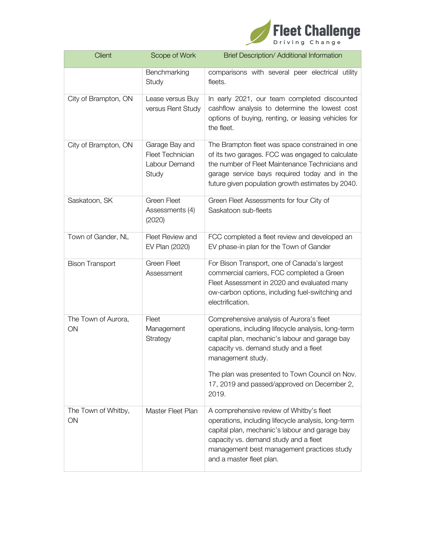

| <b>Client</b>             | Scope of Work                                                       | <b>Brief Description/ Additional Information</b>                                                                                                                                                                                                                     |
|---------------------------|---------------------------------------------------------------------|----------------------------------------------------------------------------------------------------------------------------------------------------------------------------------------------------------------------------------------------------------------------|
|                           | Benchmarking<br>Study                                               | comparisons with several peer electrical utility<br>fleets.                                                                                                                                                                                                          |
| City of Brampton, ON      | Lease versus Buy<br>versus Rent Study                               | In early 2021, our team completed discounted<br>cashflow analysis to determine the lowest cost<br>options of buying, renting, or leasing vehicles for<br>the fleet.                                                                                                  |
| City of Brampton, ON      | Garage Bay and<br><b>Fleet Technician</b><br>Labour Demand<br>Study | The Brampton fleet was space constrained in one<br>of its two garages. FCC was engaged to calculate<br>the number of Fleet Maintenance Technicians and<br>garage service bays required today and in the<br>future given population growth estimates by 2040.         |
| Saskatoon, SK             | <b>Green Fleet</b><br>Assessments (4)<br>(2020)                     | Green Fleet Assessments for four City of<br>Saskatoon sub-fleets                                                                                                                                                                                                     |
| Town of Gander, NL        | Fleet Review and<br>EV Plan (2020)                                  | FCC completed a fleet review and developed an<br>EV phase-in plan for the Town of Gander                                                                                                                                                                             |
| <b>Bison Transport</b>    | <b>Green Fleet</b><br>Assessment                                    | For Bison Transport, one of Canada's largest<br>commercial carriers, FCC completed a Green<br>Fleet Assessment in 2020 and evaluated many<br>ow-carbon options, including fuel-switching and<br>electrification.                                                     |
| The Town of Aurora,<br>ON | Fleet<br>Management<br>Strategy                                     | Comprehensive analysis of Aurora's fleet<br>operations, including lifecycle analysis, long-term<br>capital plan, mechanic's labour and garage bay<br>capacity vs. demand study and a fleet<br>management study.                                                      |
|                           |                                                                     | The plan was presented to Town Council on Nov.<br>17, 2019 and passed/approved on December 2,<br>2019.                                                                                                                                                               |
| The Town of Whitby,<br>ON | Master Fleet Plan                                                   | A comprehensive review of Whitby's fleet<br>operations, including lifecycle analysis, long-term<br>capital plan, mechanic's labour and garage bay<br>capacity vs. demand study and a fleet<br>management best management practices study<br>and a master fleet plan. |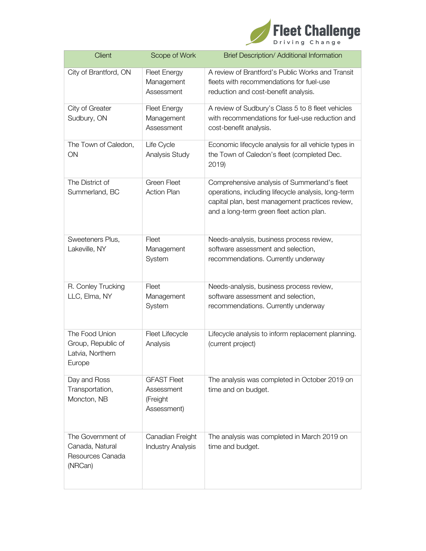

| <b>Client</b>                                                       | Scope of Work                                               | Brief Description/ Additional Information                                                                                                                                                          |
|---------------------------------------------------------------------|-------------------------------------------------------------|----------------------------------------------------------------------------------------------------------------------------------------------------------------------------------------------------|
| City of Brantford, ON                                               | <b>Fleet Energy</b><br>Management<br>Assessment             | A review of Brantford's Public Works and Transit<br>fleets with recommendations for fuel-use<br>reduction and cost-benefit analysis.                                                               |
| City of Greater<br>Sudbury, ON                                      | <b>Fleet Energy</b><br>Management<br>Assessment             | A review of Sudbury's Class 5 to 8 fleet vehicles<br>with recommendations for fuel-use reduction and<br>cost-benefit analysis.                                                                     |
| The Town of Caledon,<br>ON                                          | Life Cycle<br>Analysis Study                                | Economic lifecycle analysis for all vehicle types in<br>the Town of Caledon's fleet (completed Dec.<br>2019                                                                                        |
| The District of<br>Summerland, BC                                   | <b>Green Fleet</b><br><b>Action Plan</b>                    | Comprehensive analysis of Summerland's fleet<br>operations, including lifecycle analysis, long-term<br>capital plan, best management practices review,<br>and a long-term green fleet action plan. |
| Sweeteners Plus,<br>Lakeville, NY                                   | Fleet<br>Management<br>System                               | Needs-analysis, business process review,<br>software assessment and selection,<br>recommendations. Currently underway                                                                              |
| R. Conley Trucking<br>LLC, Elma, NY                                 | Fleet<br>Management<br>System                               | Needs-analysis, business process review,<br>software assessment and selection,<br>recommendations. Currently underway                                                                              |
| The Food Union<br>Group, Republic of<br>Latvia, Northern<br>Europe  | Fleet Lifecycle<br>Analysis                                 | Lifecycle analysis to inform replacement planning.<br>(current project)                                                                                                                            |
| Day and Ross<br>Transportation,<br>Moncton, NB                      | <b>GFAST Fleet</b><br>Assessment<br>(Freight<br>Assessment) | The analysis was completed in October 2019 on<br>time and on budget.                                                                                                                               |
| The Government of<br>Canada, Natural<br>Resources Canada<br>(NRCan) | Canadian Freight<br><b>Industry Analysis</b>                | The analysis was completed in March 2019 on<br>time and budget.                                                                                                                                    |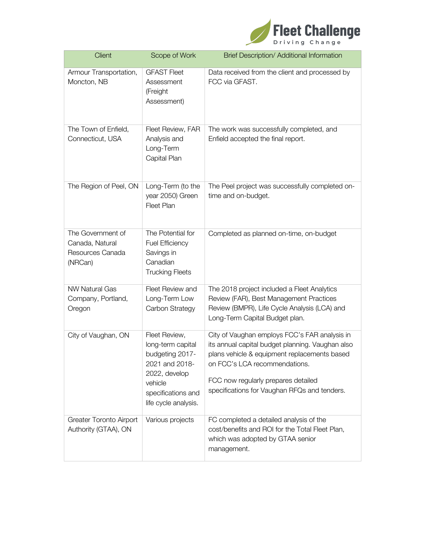

| Client                                                              | Scope of Work                                                                                                                                     | Brief Description/ Additional Information                                                                                                                                                                                                                                 |
|---------------------------------------------------------------------|---------------------------------------------------------------------------------------------------------------------------------------------------|---------------------------------------------------------------------------------------------------------------------------------------------------------------------------------------------------------------------------------------------------------------------------|
| Armour Transportation,<br>Moncton, NB                               | <b>GFAST Fleet</b><br>Assessment<br>(Freight<br>Assessment)                                                                                       | Data received from the client and processed by<br>FCC via GFAST.                                                                                                                                                                                                          |
| The Town of Enfield,<br>Connecticut, USA                            | Fleet Review, FAR<br>Analysis and<br>Long-Term<br>Capital Plan                                                                                    | The work was successfully completed, and<br>Enfield accepted the final report.                                                                                                                                                                                            |
| The Region of Peel, ON                                              | Long-Term (to the<br>year 2050) Green<br>Fleet Plan                                                                                               | The Peel project was successfully completed on-<br>time and on-budget.                                                                                                                                                                                                    |
| The Government of<br>Canada, Natural<br>Resources Canada<br>(NRCan) | The Potential for<br><b>Fuel Efficiency</b><br>Savings in<br>Canadian<br><b>Trucking Fleets</b>                                                   | Completed as planned on-time, on-budget                                                                                                                                                                                                                                   |
| <b>NW Natural Gas</b><br>Company, Portland,<br>Oregon               | Fleet Review and<br>Long-Term Low<br>Carbon Strategy                                                                                              | The 2018 project included a Fleet Analytics<br>Review (FAR), Best Management Practices<br>Review (BMPR), Life Cycle Analysis (LCA) and<br>Long-Term Capital Budget plan.                                                                                                  |
| City of Vaughan, ON                                                 | Fleet Review,<br>long-term capital<br>budgeting 2017-<br>2021 and 2018-<br>2022, develop<br>vehicle<br>specifications and<br>life cycle analysis. | City of Vaughan employs FCC's FAR analysis in<br>its annual capital budget planning. Vaughan also<br>plans vehicle & equipment replacements based<br>on FCC's LCA recommendations.<br>FCC now regularly prepares detailed<br>specifications for Vaughan RFQs and tenders. |
| Greater Toronto Airport<br>Authority (GTAA), ON                     | Various projects                                                                                                                                  | FC completed a detailed analysis of the<br>cost/benefits and ROI for the Total Fleet Plan,<br>which was adopted by GTAA senior<br>management.                                                                                                                             |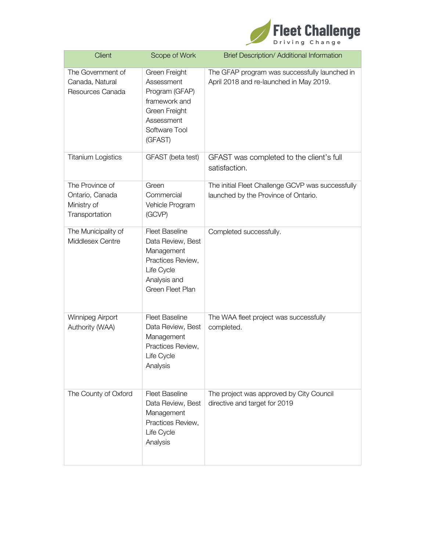

| <b>Client</b>                                                       | Scope of Work                                                                                                                   | Brief Description/ Additional Information                                                 |
|---------------------------------------------------------------------|---------------------------------------------------------------------------------------------------------------------------------|-------------------------------------------------------------------------------------------|
| The Government of<br>Canada, Natural<br>Resources Canada            | Green Freight<br>Assessment<br>Program (GFAP)<br>framework and<br>Green Freight<br>Assessment<br>Software Tool<br>(GFAST)       | The GFAP program was successfully launched in<br>April 2018 and re-launched in May 2019.  |
| <b>Titanium Logistics</b>                                           | GFAST (beta test)                                                                                                               | GFAST was completed to the client's full<br>satisfaction.                                 |
| The Province of<br>Ontario, Canada<br>Ministry of<br>Transportation | Green<br>Commercial<br>Vehicle Program<br>(GCVP)                                                                                | The initial Fleet Challenge GCVP was successfully<br>launched by the Province of Ontario. |
| The Municipality of<br>Middlesex Centre                             | <b>Fleet Baseline</b><br>Data Review, Best<br>Management<br>Practices Review,<br>Life Cycle<br>Analysis and<br>Green Fleet Plan | Completed successfully.                                                                   |
| Winnipeg Airport<br>Authority (WAA)                                 | <b>Fleet Baseline</b><br>Data Review, Best<br>Management<br>Practices Review,<br>Life Cycle<br>Analysis                         | The WAA fleet project was successfully<br>completed.                                      |
| The County of Oxford                                                | <b>Fleet Baseline</b><br>Data Review, Best<br>Management<br>Practices Review,<br>Life Cycle<br>Analysis                         | The project was approved by City Council<br>directive and target for 2019                 |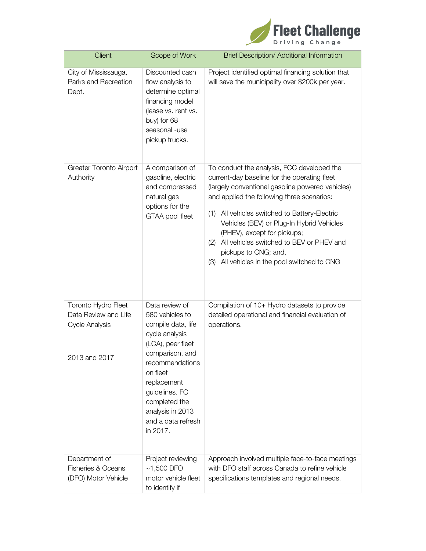

| <b>Client</b>                                                                         | Scope of Work                                                                                                                                                                                                                                            | Brief Description/ Additional Information                                                                                                                                                                                                                                                                                                                                                                                                         |
|---------------------------------------------------------------------------------------|----------------------------------------------------------------------------------------------------------------------------------------------------------------------------------------------------------------------------------------------------------|---------------------------------------------------------------------------------------------------------------------------------------------------------------------------------------------------------------------------------------------------------------------------------------------------------------------------------------------------------------------------------------------------------------------------------------------------|
| City of Mississauga,<br>Parks and Recreation<br>Dept.                                 | Discounted cash<br>flow analysis to<br>determine optimal<br>financing model<br>(lease vs. rent vs.<br>buy) for 68<br>seasonal -use<br>pickup trucks.                                                                                                     | Project identified optimal financing solution that<br>will save the municipality over \$200k per year.                                                                                                                                                                                                                                                                                                                                            |
| <b>Greater Toronto Airport</b><br>Authority                                           | A comparison of<br>gasoline, electric<br>and compressed<br>natural gas<br>options for the<br>GTAA pool fleet                                                                                                                                             | To conduct the analysis, FCC developed the<br>current-day baseline for the operating fleet<br>(largely conventional gasoline powered vehicles)<br>and applied the following three scenarios:<br>(1) All vehicles switched to Battery-Electric<br>Vehicles (BEV) or Plug-In Hybrid Vehicles<br>(PHEV), except for pickups;<br>(2) All vehicles switched to BEV or PHEV and<br>pickups to CNG; and,<br>(3) All vehicles in the pool switched to CNG |
| Toronto Hydro Fleet<br>Data Review and Life<br><b>Cycle Analysis</b><br>2013 and 2017 | Data review of<br>580 vehicles to<br>compile data, life<br>cycle analysis<br>(LCA), peer fleet<br>comparison, and<br>recommendations<br>on fleet<br>replacement<br>guidelines. FC<br>completed the<br>analysis in 2013<br>and a data refresh<br>in 2017. | Compilation of 10+ Hydro datasets to provide<br>detailed operational and financial evaluation of<br>operations.                                                                                                                                                                                                                                                                                                                                   |
| Department of<br><b>Fisheries &amp; Oceans</b><br>(DFO) Motor Vehicle                 | Project reviewing<br>$~1,500$ DFO<br>motor vehicle fleet<br>to identify if                                                                                                                                                                               | Approach involved multiple face-to-face meetings<br>with DFO staff across Canada to refine vehicle<br>specifications templates and regional needs.                                                                                                                                                                                                                                                                                                |